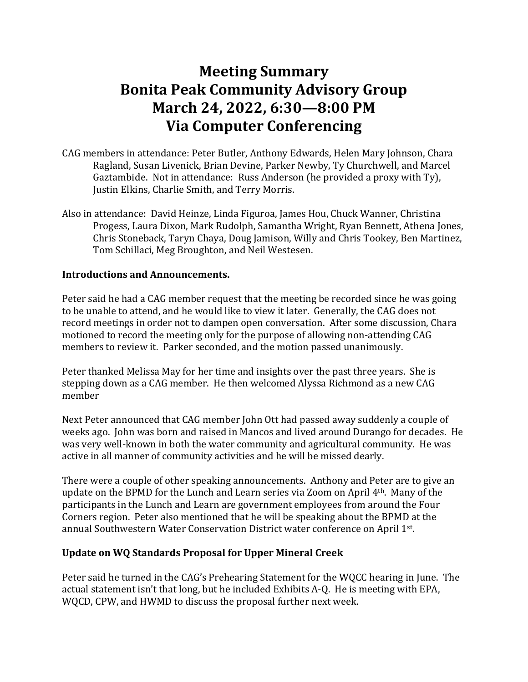# **Meeting Summary Bonita Peak Community Advisory Group March 24, 2022, 6:30—8:00 PM Via Computer Conferencing**

- CAG members in attendance: Peter Butler, Anthony Edwards, Helen Mary Johnson, Chara Ragland, Susan Livenick, Brian Devine, Parker Newby, Ty Churchwell, and Marcel Gaztambide. Not in attendance: Russ Anderson (he provided a proxy with Ty), Justin Elkins, Charlie Smith, and Terry Morris.
- Also in attendance: David Heinze, Linda Figuroa, James Hou, Chuck Wanner, Christina Progess, Laura Dixon, Mark Rudolph, Samantha Wright, Ryan Bennett, Athena Jones, Chris Stoneback, Taryn Chaya, Doug Jamison, Willy and Chris Tookey, Ben Martinez, Tom Schillaci, Meg Broughton, and Neil Westesen.

## **Introductions and Announcements.**

Peter said he had a CAG member request that the meeting be recorded since he was going to be unable to attend, and he would like to view it later. Generally, the CAG does not record meetings in order not to dampen open conversation. After some discussion, Chara motioned to record the meeting only for the purpose of allowing non-attending CAG members to review it. Parker seconded, and the motion passed unanimously.

Peter thanked Melissa May for her time and insights over the past three years. She is stepping down as a CAG member. He then welcomed Alyssa Richmond as a new CAG member

Next Peter announced that CAG member John Ott had passed away suddenly a couple of weeks ago. John was born and raised in Mancos and lived around Durango for decades. He was very well-known in both the water community and agricultural community. He was active in all manner of community activities and he will be missed dearly.

There were a couple of other speaking announcements. Anthony and Peter are to give an update on the BPMD for the Lunch and Learn series via Zoom on April 4th. Many of the participants in the Lunch and Learn are government employees from around the Four Corners region. Peter also mentioned that he will be speaking about the BPMD at the annual Southwestern Water Conservation District water conference on April 1st .

## **Update on WQ Standards Proposal for Upper Mineral Creek**

Peter said he turned in the CAG's Prehearing Statement for the WQCC hearing in June. The actual statement isn't that long, but he included Exhibits A-Q. He is meeting with EPA, WQCD, CPW, and HWMD to discuss the proposal further next week.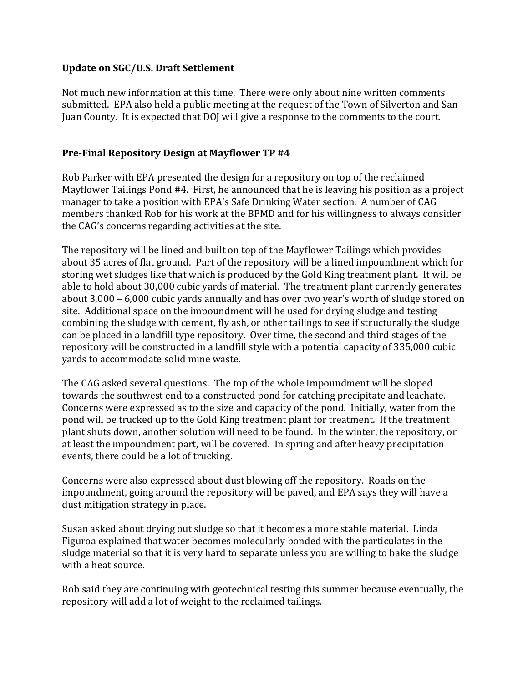## **Update on SGC/U.S. Draft Settlement**

Not much new information at this time. There were only about nine written comments submitted. EPA also held a public meeting at the request of the Town of Silverton and San Juan County. It is expected that DOJ will give a response to the comments to the court.

## **Pre-Final Repository Design at Mayflower TP #4**

Rob Parker with EPA presented the design for a repository on top of the reclaimed Mayflower Tailings Pond #4. First, he announced that he is leaving his position as a project manager to take a position with EPA's Safe Drinking Water section. A number of CAG members thanked Rob for his work at the BPMD and for his willingness to always consider the CAG's concerns regarding activities at the site.

The repository will be lined and built on top of the Mayflower Tailings which provides about 35 acres of flat ground. Part of the repository will be a lined impoundment which for storing wet sludges like that which is produced by the Gold King treatment plant. It will be able to hold about 30,000 cubic yards of material. The treatment plant currently generates about 3,000 – 6,000 cubic yards annually and has over two year's worth of sludge stored on site. Additional space on the impoundment will be used for drying sludge and testing combining the sludge with cement, fly ash, or other tailings to see if structurally the sludge can be placed in a landfill type repository. Over time, the second and third stages of the repository will be constructed in a landfill style with a potential capacity of 335,000 cubic yards to accommodate solid mine waste.

The CAG asked several questions. The top of the whole impoundment will be sloped towards the southwest end to a constructed pond for catching precipitate and leachate. Concerns were expressed as to the size and capacity of the pond. Initially, water from the pond will be trucked up to the Gold King treatment plant for treatment. If the treatment plant shuts down, another solution will need to be found. In the winter, the repository, or at least the impoundment part, will be covered. In spring and after heavy precipitation events, there could be a lot of trucking.

Concerns were also expressed about dust blowing off the repository. Roads on the impoundment, going around the repository will be paved, and EPA says they will have a dust mitigation strategy in place.

Susan asked about drying out sludge so that it becomes a more stable material. Linda Figuroa explained that water becomes molecularly bonded with the particulates in the sludge material so that it is very hard to separate unless you are willing to bake the sludge with a heat source.

Rob said they are continuing with geotechnical testing this summer because eventually, the repository will add a lot of weight to the reclaimed tailings.